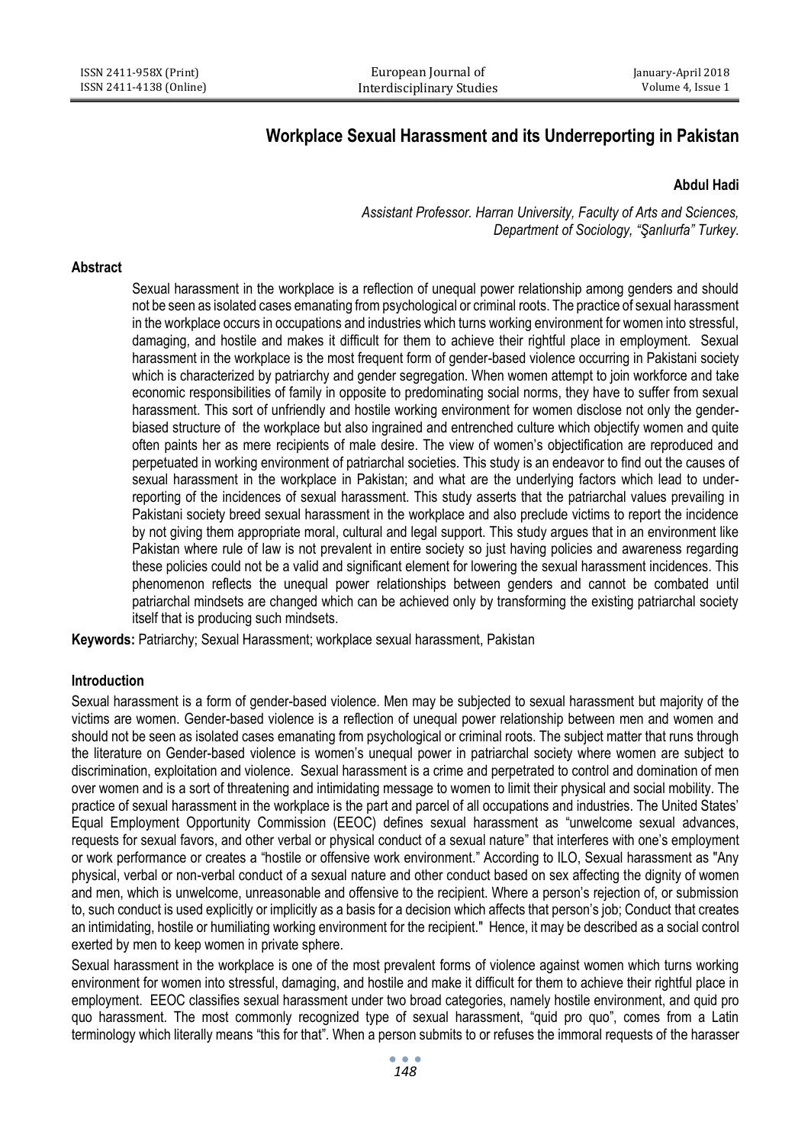# **Workplace Sexual Harassment and its Underreporting in Pakistan**

# **Abdul Hadi**

*Assistant Professor. Harran University, Faculty of Arts and Sciences, Department of Sociology, "Şanlıurfa" Turkey.*

#### **Abstract**

Sexual harassment in the workplace is a reflection of unequal power relationship among genders and should not be seen as isolated cases emanating from psychological or criminal roots. The practice of sexual harassment in the workplace occurs in occupations and industries which turns working environment for women into stressful, damaging, and hostile and makes it difficult for them to achieve their rightful place in employment. Sexual harassment in the workplace is the most frequent form of gender-based violence occurring in Pakistani society which is characterized by patriarchy and gender segregation. When women attempt to join workforce and take economic responsibilities of family in opposite to predominating social norms, they have to suffer from sexual harassment. This sort of unfriendly and hostile working environment for women disclose not only the genderbiased structure of the workplace but also ingrained and entrenched culture which objectify women and quite often paints her as mere recipients of male desire. The view of women's objectification are reproduced and perpetuated in working environment of patriarchal societies. This study is an endeavor to find out the causes of sexual harassment in the workplace in Pakistan; and what are the underlying factors which lead to underreporting of the incidences of sexual harassment. This study asserts that the patriarchal values prevailing in Pakistani society breed sexual harassment in the workplace and also preclude victims to report the incidence by not giving them appropriate moral, cultural and legal support. This study argues that in an environment like Pakistan where rule of law is not prevalent in entire society so just having policies and awareness regarding these policies could not be a valid and significant element for lowering the sexual harassment incidences. This phenomenon reflects the unequal power relationships between genders and cannot be combated until patriarchal mindsets are changed which can be achieved only by transforming the existing patriarchal society itself that is producing such mindsets.

**Keywords:** Patriarchy; Sexual Harassment; workplace sexual harassment, Pakistan

# **Introduction**

Sexual harassment is a form of gender-based violence. Men may be subjected to sexual harassment but majority of the victims are women. Gender-based violence is a reflection of unequal power relationship between men and women and should not be seen as isolated cases emanating from psychological or criminal roots. The subject matter that runs through the literature on Gender-based violence is women's unequal power in patriarchal society where women are subject to discrimination, exploitation and violence. Sexual harassment is a crime and perpetrated to control and domination of men over women and is a sort of threatening and intimidating message to women to limit their physical and social mobility. The practice of sexual harassment in the workplace is the part and parcel of all occupations and industries. The United States' Equal Employment Opportunity Commission (EEOC) defines sexual harassment as "unwelcome sexual advances, requests for sexual favors, and other verbal or physical conduct of a sexual nature" that interferes with one's employment or work performance or creates a "hostile or offensive work environment." According to ILO, Sexual harassment as "Any physical, verbal or non-verbal conduct of a sexual nature and other conduct based on sex affecting the dignity of women and men, which is unwelcome, unreasonable and offensive to the recipient. Where a person's rejection of, or submission to, such conduct is used explicitly or implicitly as a basis for a decision which affects that person's job; Conduct that creates an intimidating, hostile or humiliating working environment for the recipient." Hence, it may be described as a social control exerted by men to keep women in private sphere.

Sexual harassment in the workplace is one of the most prevalent forms of violence against women which turns working environment for women into stressful, damaging, and hostile and make it difficult for them to achieve their rightful place in employment. EEOC classifies sexual harassment under two broad categories, namely hostile environment, and quid pro quo harassment. The most commonly recognized type of sexual harassment, "quid pro quo", comes from a Latin terminology which literally means "this for that". When a person submits to or refuses the immoral requests of the harasser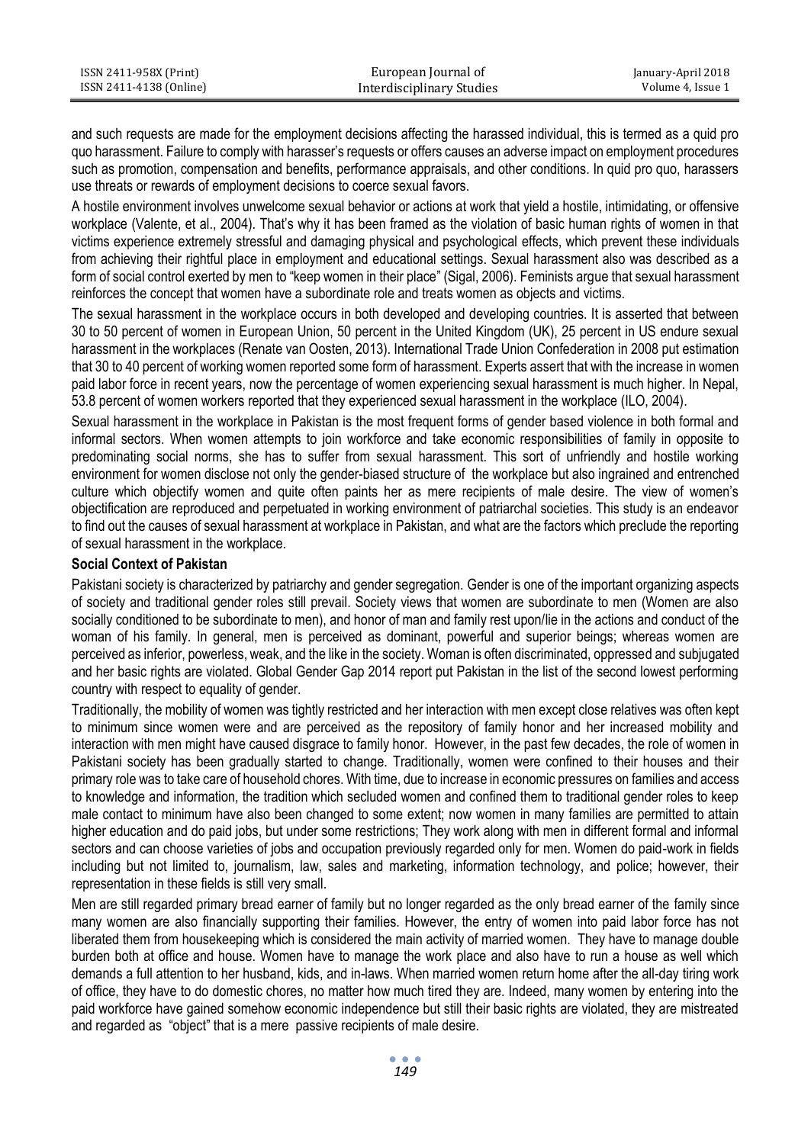| ISSN 2411-958X (Print)  | European Journal of       | January-April 2018 |
|-------------------------|---------------------------|--------------------|
| ISSN 2411-4138 (Online) | Interdisciplinary Studies | Volume 4. Issue 1  |

and such requests are made for the employment decisions affecting the harassed individual, this is termed as a quid pro quo harassment. Failure to comply with harasser's requests or offers causes an adverse impact on employment procedures such as promotion, compensation and benefits, performance appraisals, and other conditions. In quid pro quo, harassers use threats or rewards of employment decisions to coerce sexual favors.

A hostile environment involves unwelcome sexual behavior or actions at work that yield a hostile, intimidating, or offensive workplace (Valente, et al., 2004). That's why it has been framed as the violation of basic human rights of women in that victims experience extremely stressful and damaging physical and psychological effects, which prevent these individuals from achieving their rightful place in employment and educational settings. Sexual harassment also was described as a form of social control exerted by men to "keep women in their place" (Sigal, 2006). Feminists argue that sexual harassment reinforces the concept that women have a subordinate role and treats women as objects and victims.

The sexual harassment in the workplace occurs in both developed and developing countries. It is asserted that between 30 to 50 percent of women in European Union, 50 percent in the United Kingdom (UK), 25 percent in US endure sexual harassment in the workplaces (Renate van Oosten, 2013). International Trade Union Confederation in 2008 put estimation that 30 to 40 percent of working women reported some form of harassment. Experts assert that with the increase in women paid labor force in recent years, now the percentage of women experiencing sexual harassment is much higher. In Nepal, 53.8 percent of women workers reported that they experienced sexual harassment in the workplace (ILO, 2004).

Sexual harassment in the workplace in Pakistan is the most frequent forms of gender based violence in both formal and informal sectors. When women attempts to join workforce and take economic responsibilities of family in opposite to predominating social norms, she has to suffer from sexual harassment. This sort of unfriendly and hostile working environment for women disclose not only the gender-biased structure of the workplace but also ingrained and entrenched culture which objectify women and quite often paints her as mere recipients of male desire. The view of women's objectification are reproduced and perpetuated in working environment of patriarchal societies. This study is an endeavor to find out the causes of sexual harassment at workplace in Pakistan, and what are the factors which preclude the reporting of sexual harassment in the workplace.

# **Social Context of Pakistan**

Pakistani society is characterized by patriarchy and gender segregation. Gender is one of the important organizing aspects of society and traditional gender roles still prevail. Society views that women are subordinate to men (Women are also socially conditioned to be subordinate to men), and honor of man and family rest upon/lie in the actions and conduct of the woman of his family. In general, men is perceived as dominant, powerful and superior beings; whereas women are perceived as inferior, powerless, weak, and the like in the society. Woman is often discriminated, oppressed and subjugated and her basic rights are violated. Global Gender Gap 2014 report put Pakistan in the list of the second lowest performing country with respect to equality of gender.

Traditionally, the mobility of women was tightly restricted and her interaction with men except close relatives was often kept to minimum since women were and are perceived as the repository of family honor and her increased mobility and interaction with men might have caused disgrace to family honor. However, in the past few decades, the role of women in Pakistani society has been gradually started to change. Traditionally, women were confined to their houses and their primary role was to take care of household chores. With time, due to increase in economic pressures on families and access to knowledge and information, the tradition which secluded women and confined them to traditional gender roles to keep male contact to minimum have also been changed to some extent; now women in many families are permitted to attain higher education and do paid jobs, but under some restrictions; They work along with men in different formal and informal sectors and can choose varieties of jobs and occupation previously regarded only for men. Women do paid-work in fields including but not limited to, journalism, law, sales and marketing, information technology, and police; however, their representation in these fields is still very small.

Men are still regarded primary bread earner of family but no longer regarded as the only bread earner of the family since many women are also financially supporting their families. However, the entry of women into paid labor force has not liberated them from housekeeping which is considered the main activity of married women. They have to manage double burden both at office and house. Women have to manage the work place and also have to run a house as well which demands a full attention to her husband, kids, and in-laws. When married women return home after the all-day tiring work of office, they have to do domestic chores, no matter how much tired they are. Indeed, many women by entering into the paid workforce have gained somehow economic independence but still their basic rights are violated, they are mistreated and regarded as "object" that is a mere passive recipients of male desire.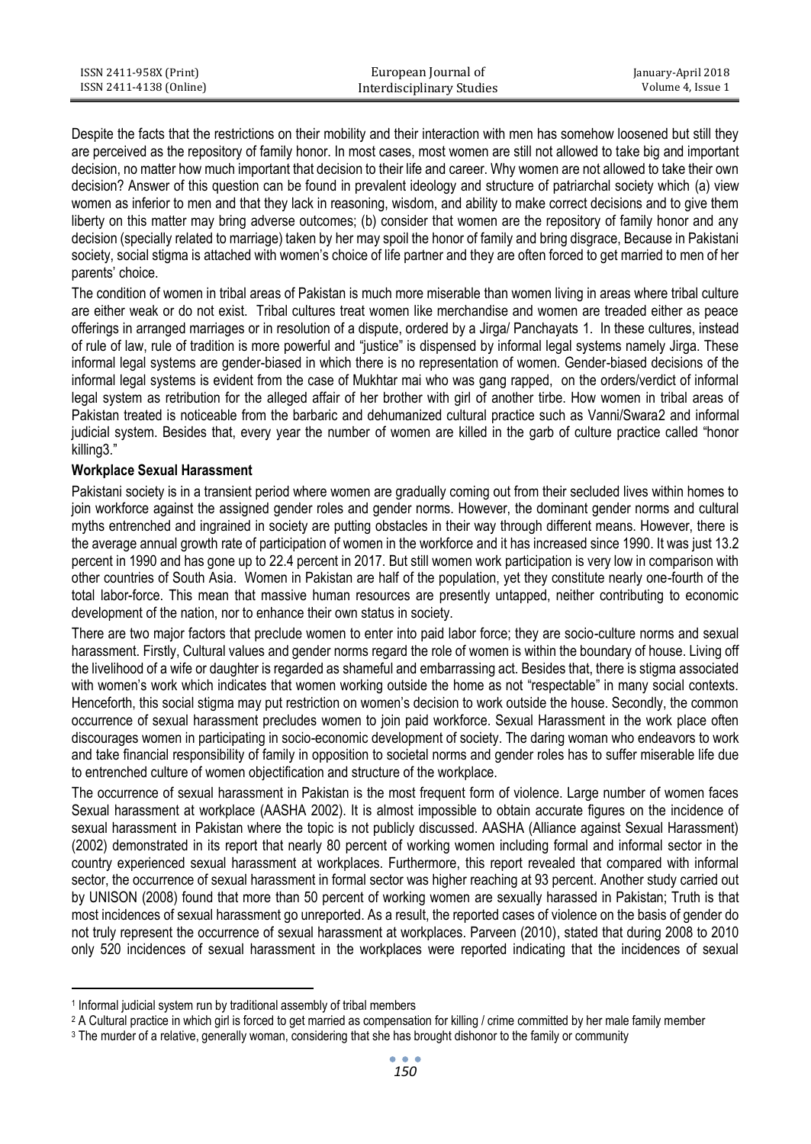| ISSN 2411-958X (Print)  | European Journal of       | January-April 2018 |
|-------------------------|---------------------------|--------------------|
| ISSN 2411-4138 (Online) | Interdisciplinary Studies | Volume 4. Issue 1  |

Despite the facts that the restrictions on their mobility and their interaction with men has somehow loosened but still they are perceived as the repository of family honor. In most cases, most women are still not allowed to take big and important decision, no matter how much important that decision to their life and career. Why women are not allowed to take their own decision? Answer of this question can be found in prevalent ideology and structure of patriarchal society which (a) view women as inferior to men and that they lack in reasoning, wisdom, and ability to make correct decisions and to give them liberty on this matter may bring adverse outcomes; (b) consider that women are the repository of family honor and any decision (specially related to marriage) taken by her may spoil the honor of family and bring disgrace, Because in Pakistani society, social stigma is attached with women's choice of life partner and they are often forced to get married to men of her parents' choice.

The condition of women in tribal areas of Pakistan is much more miserable than women living in areas where tribal culture are either weak or do not exist. Tribal cultures treat women like merchandise and women are treaded either as peace offerings in arranged marriages or in resolution of a dispute, ordered by a Jirga/ Panchayats 1. In these cultures, instead of rule of law, rule of tradition is more powerful and "justice" is dispensed by informal legal systems namely Jirga. These informal legal systems are gender-biased in which there is no representation of women. Gender-biased decisions of the informal legal systems is evident from the case of Mukhtar mai who was gang rapped, on the orders/verdict of informal legal system as retribution for the alleged affair of her brother with girl of another tirbe. How women in tribal areas of Pakistan treated is noticeable from the barbaric and dehumanized cultural practice such as Vanni/Swara2 and informal judicial system. Besides that, every year the number of women are killed in the garb of culture practice called "honor killing3."

# **Workplace Sexual Harassment**

Pakistani society is in a transient period where women are gradually coming out from their secluded lives within homes to join workforce against the assigned gender roles and gender norms. However, the dominant gender norms and cultural myths entrenched and ingrained in society are putting obstacles in their way through different means. However, there is the average annual growth rate of participation of women in the workforce and it has increased since 1990. It was just 13.2 percent in 1990 and has gone up to 22.4 percent in 2017. But still women work participation is very low in comparison with other countries of South Asia. Women in Pakistan are half of the population, yet they constitute nearly one-fourth of the total labor-force. This mean that massive human resources are presently untapped, neither contributing to economic development of the nation, nor to enhance their own status in society.

There are two major factors that preclude women to enter into paid labor force; they are socio-culture norms and sexual harassment. Firstly, Cultural values and gender norms regard the role of women is within the boundary of house. Living off the livelihood of a wife or daughter is regarded as shameful and embarrassing act. Besides that, there is stigma associated with women's work which indicates that women working outside the home as not "respectable" in many social contexts. Henceforth, this social stigma may put restriction on women's decision to work outside the house. Secondly, the common occurrence of sexual harassment precludes women to join paid workforce. Sexual Harassment in the work place often discourages women in participating in socio-economic development of society. The daring woman who endeavors to work and take financial responsibility of family in opposition to societal norms and gender roles has to suffer miserable life due to entrenched culture of women objectification and structure of the workplace.

The occurrence of sexual harassment in Pakistan is the most frequent form of violence. Large number of women faces Sexual harassment at workplace (AASHA 2002). It is almost impossible to obtain accurate figures on the incidence of sexual harassment in Pakistan where the topic is not publicly discussed. AASHA (Alliance against Sexual Harassment) (2002) demonstrated in its report that nearly 80 percent of working women including formal and informal sector in the country experienced sexual harassment at workplaces. Furthermore, this report revealed that compared with informal sector, the occurrence of sexual harassment in formal sector was higher reaching at 93 percent. Another study carried out by UNISON (2008) found that more than 50 percent of working women are sexually harassed in Pakistan; Truth is that most incidences of sexual harassment go unreported. As a result, the reported cases of violence on the basis of gender do not truly represent the occurrence of sexual harassment at workplaces. Parveen (2010), stated that during 2008 to 2010 only 520 incidences of sexual harassment in the workplaces were reported indicating that the incidences of sexual

1

<sup>1</sup> Informal judicial system run by traditional assembly of tribal members

<sup>&</sup>lt;sup>2</sup> A Cultural practice in which girl is forced to get married as compensation for killing / crime committed by her male family member

<sup>&</sup>lt;sup>3</sup> The murder of a relative, generally woman, considering that she has brought dishonor to the family or community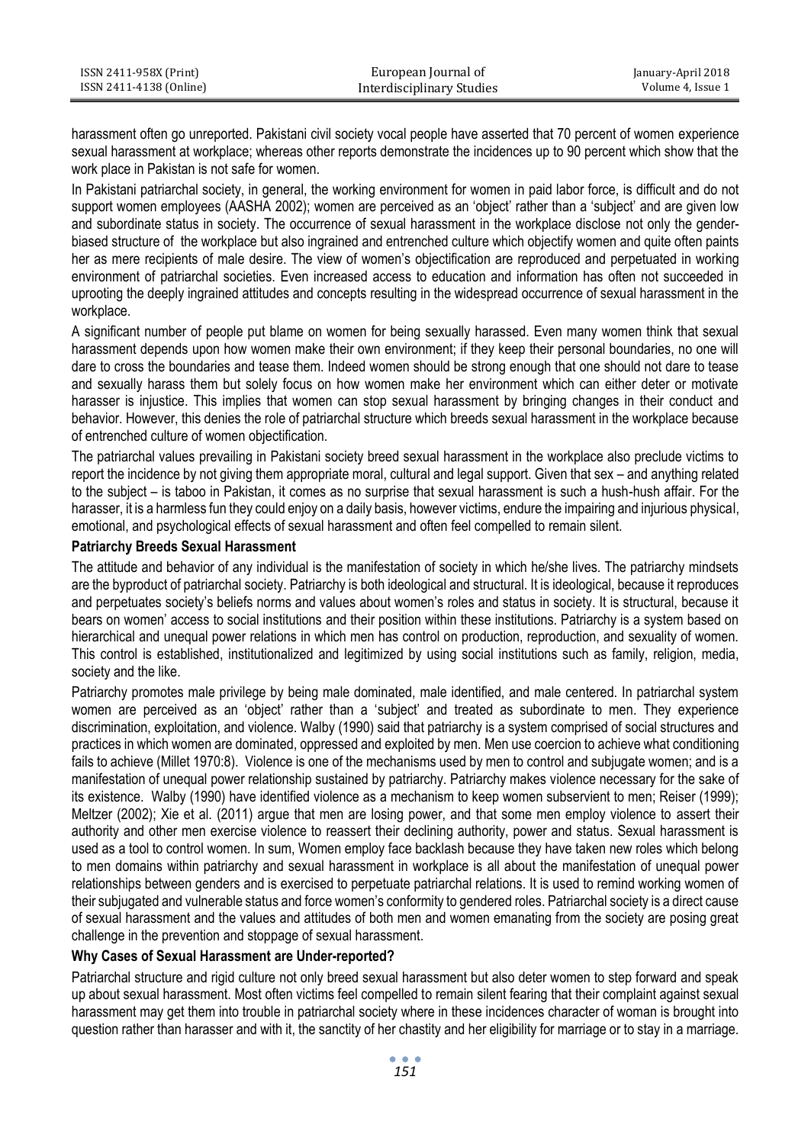| ISSN 2411-958X (Print)  | European Journal of       | January-April 2018 |
|-------------------------|---------------------------|--------------------|
| ISSN 2411-4138 (Online) | Interdisciplinary Studies | Volume 4. Issue 1  |

harassment often go unreported. Pakistani civil society vocal people have asserted that 70 percent of women experience sexual harassment at workplace; whereas other reports demonstrate the incidences up to 90 percent which show that the work place in Pakistan is not safe for women.

In Pakistani patriarchal society, in general, the working environment for women in paid labor force, is difficult and do not support women employees (AASHA 2002); women are perceived as an 'object' rather than a 'subject' and are given low and subordinate status in society. The occurrence of sexual harassment in the workplace disclose not only the genderbiased structure of the workplace but also ingrained and entrenched culture which objectify women and quite often paints her as mere recipients of male desire. The view of women's objectification are reproduced and perpetuated in working environment of patriarchal societies. Even increased access to education and information has often not succeeded in uprooting the deeply ingrained attitudes and concepts resulting in the widespread occurrence of sexual harassment in the workplace.

A significant number of people put blame on women for being sexually harassed. Even many women think that sexual harassment depends upon how women make their own environment; if they keep their personal boundaries, no one will dare to cross the boundaries and tease them. Indeed women should be strong enough that one should not dare to tease and sexually harass them but solely focus on how women make her environment which can either deter or motivate harasser is injustice. This implies that women can stop sexual harassment by bringing changes in their conduct and behavior. However, this denies the role of patriarchal structure which breeds sexual harassment in the workplace because of entrenched culture of women objectification.

The patriarchal values prevailing in Pakistani society breed sexual harassment in the workplace also preclude victims to report the incidence by not giving them appropriate moral, cultural and legal support. Given that sex – and anything related to the subject – is taboo in Pakistan, it comes as no surprise that sexual harassment is such a hush-hush affair. For the harasser, it is a harmless fun they could enjoy on a daily basis, however victims, endure the impairing and injurious physical, emotional, and psychological effects of sexual harassment and often feel compelled to remain silent.

# **Patriarchy Breeds Sexual Harassment**

The attitude and behavior of any individual is the manifestation of society in which he/she lives. The patriarchy mindsets are the byproduct of patriarchal society. Patriarchy is both ideological and structural. It is ideological, because it reproduces and perpetuates society's beliefs norms and values about women's roles and status in society. It is structural, because it bears on women' access to social institutions and their position within these institutions. Patriarchy is a system based on hierarchical and unequal power relations in which men has control on production, reproduction, and sexuality of women. This control is established, institutionalized and legitimized by using social institutions such as family, religion, media, society and the like.

Patriarchy promotes male privilege by being male dominated, male identified, and male centered. In patriarchal system women are perceived as an 'object' rather than a 'subject' and treated as subordinate to men. They experience discrimination, exploitation, and violence. Walby (1990) said that patriarchy is a system comprised of social structures and practices in which women are dominated, oppressed and exploited by men. Men use coercion to achieve what conditioning fails to achieve (Millet 1970:8). Violence is one of the mechanisms used by men to control and subjugate women; and is a manifestation of unequal power relationship sustained by patriarchy. Patriarchy makes violence necessary for the sake of its existence. Walby (1990) have identified violence as a mechanism to keep women subservient to men; Reiser (1999); Meltzer (2002); Xie et al. (2011) argue that men are losing power, and that some men employ violence to assert their authority and other men exercise violence to reassert their declining authority, power and status. Sexual harassment is used as a tool to control women. In sum, Women employ face backlash because they have taken new roles which belong to men domains within patriarchy and sexual harassment in workplace is all about the manifestation of unequal power relationships between genders and is exercised to perpetuate patriarchal relations. It is used to remind working women of their subjugated and vulnerable status and force women's conformity to gendered roles. Patriarchal society is a direct cause of sexual harassment and the values and attitudes of both men and women emanating from the society are posing great challenge in the prevention and stoppage of sexual harassment.

# **Why Cases of Sexual Harassment are Under-reported?**

Patriarchal structure and rigid culture not only breed sexual harassment but also deter women to step forward and speak up about sexual harassment. Most often victims feel compelled to remain silent fearing that their complaint against sexual harassment may get them into trouble in patriarchal society where in these incidences character of woman is brought into question rather than harasser and with it, the sanctity of her chastity and her eligibility for marriage or to stay in a marriage.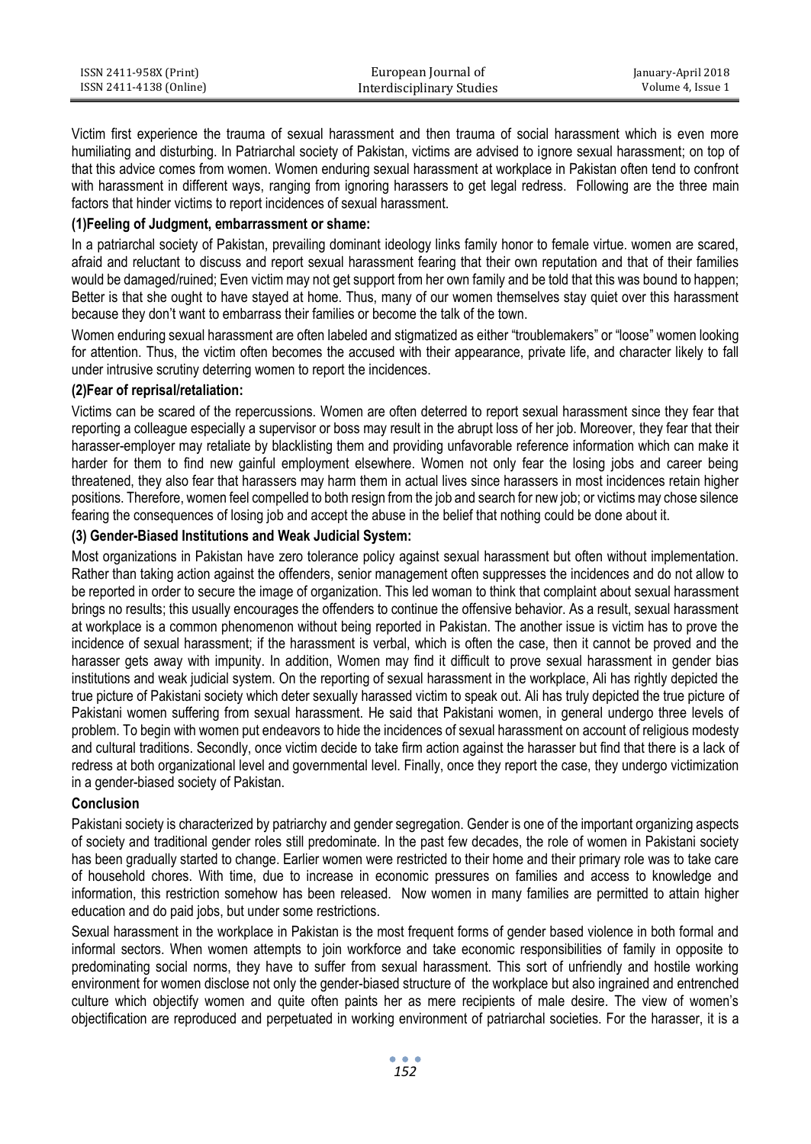| ISSN 2411-958X (Print)  | European Journal of       | January-April 2018 |
|-------------------------|---------------------------|--------------------|
| ISSN 2411-4138 (Online) | Interdisciplinary Studies | Volume 4. Issue 1  |

Victim first experience the trauma of sexual harassment and then trauma of social harassment which is even more humiliating and disturbing. In Patriarchal society of Pakistan, victims are advised to ignore sexual harassment; on top of that this advice comes from women. Women enduring sexual harassment at workplace in Pakistan often tend to confront with harassment in different ways, ranging from ignoring harassers to get legal redress. Following are the three main factors that hinder victims to report incidences of sexual harassment.

# **(1)Feeling of Judgment, embarrassment or shame:**

In a patriarchal society of Pakistan, prevailing dominant ideology links family honor to female virtue. women are scared, afraid and reluctant to discuss and report sexual harassment fearing that their own reputation and that of their families would be damaged/ruined; Even victim may not get support from her own family and be told that this was bound to happen; Better is that she ought to have stayed at home. Thus, many of our women themselves stay quiet over this harassment because they don't want to embarrass their families or become the talk of the town.

Women enduring sexual harassment are often labeled and stigmatized as either "troublemakers" or "loose" women looking for attention. Thus, the victim often becomes the accused with their appearance, private life, and character likely to fall under intrusive scrutiny deterring women to report the incidences.

# **(2)Fear of reprisal/retaliation:**

Victims can be scared of the repercussions. Women are often deterred to report sexual harassment since they fear that reporting a colleague especially a supervisor or boss may result in the abrupt loss of her job. Moreover, they fear that their harasser-employer may retaliate by blacklisting them and providing unfavorable reference information which can make it harder for them to find new gainful employment elsewhere. Women not only fear the losing jobs and career being threatened, they also fear that harassers may harm them in actual lives since harassers in most incidences retain higher positions. Therefore, women feel compelled to both resign from the job and search for new job; or victims may chose silence fearing the consequences of losing job and accept the abuse in the belief that nothing could be done about it.

# **(3) Gender-Biased Institutions and Weak Judicial System:**

Most organizations in Pakistan have zero tolerance policy against sexual harassment but often without implementation. Rather than taking action against the offenders, senior management often suppresses the incidences and do not allow to be reported in order to secure the image of organization. This led woman to think that complaint about sexual harassment brings no results; this usually encourages the offenders to continue the offensive behavior. As a result, sexual harassment at workplace is a common phenomenon without being reported in Pakistan. The another issue is victim has to prove the incidence of sexual harassment; if the harassment is verbal, which is often the case, then it cannot be proved and the harasser gets away with impunity. In addition, Women may find it difficult to prove sexual harassment in gender bias institutions and weak judicial system. On the reporting of sexual harassment in the workplace. Ali has rightly depicted the true picture of Pakistani society which deter sexually harassed victim to speak out. Ali has truly depicted the true picture of Pakistani women suffering from sexual harassment. He said that Pakistani women, in general undergo three levels of problem. To begin with women put endeavors to hide the incidences of sexual harassment on account of religious modesty and cultural traditions. Secondly, once victim decide to take firm action against the harasser but find that there is a lack of redress at both organizational level and governmental level. Finally, once they report the case, they undergo victimization in a gender-biased society of Pakistan.

#### **Conclusion**

Pakistani society is characterized by patriarchy and gender segregation. Gender is one of the important organizing aspects of society and traditional gender roles still predominate. In the past few decades, the role of women in Pakistani society has been gradually started to change. Earlier women were restricted to their home and their primary role was to take care of household chores. With time, due to increase in economic pressures on families and access to knowledge and information, this restriction somehow has been released. Now women in many families are permitted to attain higher education and do paid jobs, but under some restrictions.

Sexual harassment in the workplace in Pakistan is the most frequent forms of gender based violence in both formal and informal sectors. When women attempts to join workforce and take economic responsibilities of family in opposite to predominating social norms, they have to suffer from sexual harassment. This sort of unfriendly and hostile working environment for women disclose not only the gender-biased structure of the workplace but also ingrained and entrenched culture which objectify women and quite often paints her as mere recipients of male desire. The view of women's objectification are reproduced and perpetuated in working environment of patriarchal societies. For the harasser, it is a